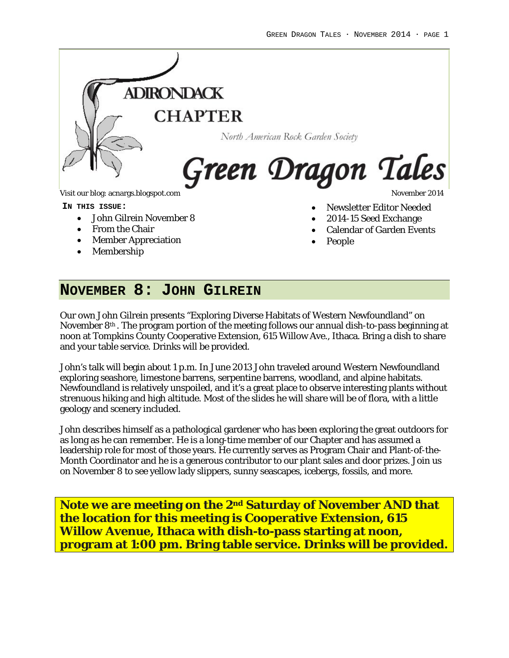$\overline{a}$ 



- John Gilrein November 8
- From the Chair
- Member Appreciation
- 
- Membership
- Newsletter Editor Needed
- 2014-15 Seed Exchange
- Calendar of Garden Events
- People

## **NOVEMBER 8: JOHN GILREIN**

Our own John Gilrein presents "Exploring Diverse Habitats of Western Newfoundland" on November 8th . The program portion of the meeting follows our annual dish-to-pass beginning at noon at Tompkins County Cooperative Extension, 615 Willow Ave., Ithaca. Bring a dish to share and your table service. Drinks will be provided.

John's talk will begin about 1 p.m. In June 2013 John traveled around Western Newfoundland exploring seashore, limestone barrens, serpentine barrens, woodland, and alpine habitats. Newfoundland is relatively unspoiled, and it's a great place to observe interesting plants without strenuous hiking and high altitude. Most of the slides he will share will be of flora, with a little geology and scenery included.

John describes himself as a pathological gardener who has been exploring the great outdoors for as long as he can remember. He is a long-time member of our Chapter and has assumed a leadership role for most of those years. He currently serves as Program Chair and Plant-of-the-Month Coordinator and he is a generous contributor to our plant sales and door prizes. Join us on November 8 to see yellow lady slippers, sunny seascapes, icebergs, fossils, and more.

**Note we are meeting on the 2nd Saturday of November AND that the location for this meeting is Cooperative Extension, 615 Willow Avenue, Ithaca with dish-to-pass starting at noon, program at 1:00 pm. Bring table service. Drinks will be provided.**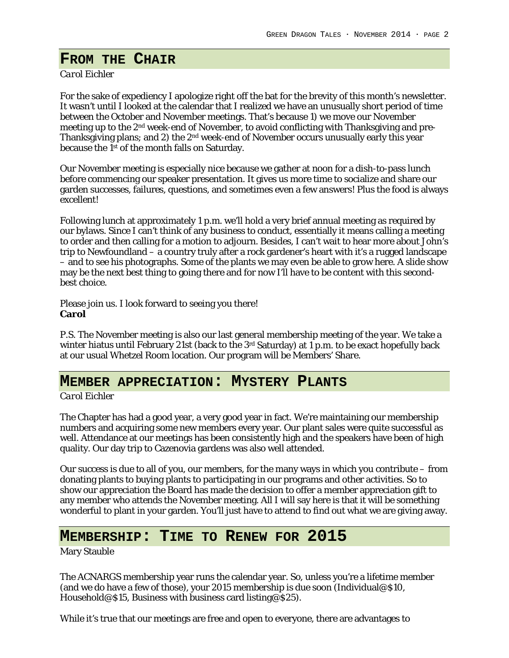$\overline{a}$ 

## **FROM THE CHAIR**

### *Carol Eichler*

For the sake of expediency I apologize right off the bat for the brevity of this month's newsletter. It wasn't until I looked at the calendar that I realized we have an unusually short period of time between the October and November meetings. That's because 1) we move our November meeting up to the 2nd week-end of November, to avoid conflicting with Thanksgiving and pre-Thanksgiving plans; and 2) the 2<sup>nd</sup> week-end of November occurs unusually early this year because the 1st of the month falls on Saturday.

Our November meeting is especially nice because we gather at noon for a dish-to-pass lunch before commencing our speaker presentation. It gives us more time to socialize and share our garden successes, failures, questions, and sometimes even a few answers! Plus the food is always excellent!

Following lunch at approximately 1 p.m. we'll hold a very brief annual meeting as required by our bylaws. Since I can't think of any business to conduct, essentially it means calling a meeting to order and then calling for a motion to adjourn. Besides, I can't wait to hear more about John's trip to Newfoundland – a country truly after a rock gardener's heart with it's a rugged landscape – and to see his photographs. Some of the plants we may even be able to grow here. A slide show may be the next best thing to going there and for now I'll have to be content with this secondbest choice.

Please join us. I look forward to seeing you there! **Carol**

P.S. The November meeting is also our last general membership meeting of the year. We take a winter hiatus until February 21st (back to the 3<sup>rd</sup> Saturday) at 1 p.m. to be exact hopefully back at our usual Whetzel Room location. Our program will be Members' Share.

### **MEMBER APPRECIATION: MYSTERY PLANTS**

### *Carol Eichler*

The Chapter has had a good year, a very good year in fact. We're maintaining our membership numbers and acquiring some new members every year. Our plant sales were quite successful as well. Attendance at our meetings has been consistently high and the speakers have been of high quality. Our day trip to Cazenovia gardens was also well attended.

Our success is due to all of you, our members, for the many ways in which you contribute – from donating plants to buying plants to participating in our programs and other activities. So to show our appreciation the Board has made the decision to offer a member appreciation gift to any member who attends the November meeting. All I will say here is that it will be something wonderful to plant in your garden. You'll just have to attend to find out what we are giving away.

### **MEMBERSHIP: TIME TO RENEW FOR 2015**

Mary Stauble

The ACNARGS membership year runs the calendar year. So, unless you're a lifetime member (and we do have a few of those), your 2015 membership is due soon (Individual@\$10, Household@\$15, Business with business card listing@\$25).

While it's true that our meetings are free and open to everyone, there are advantages to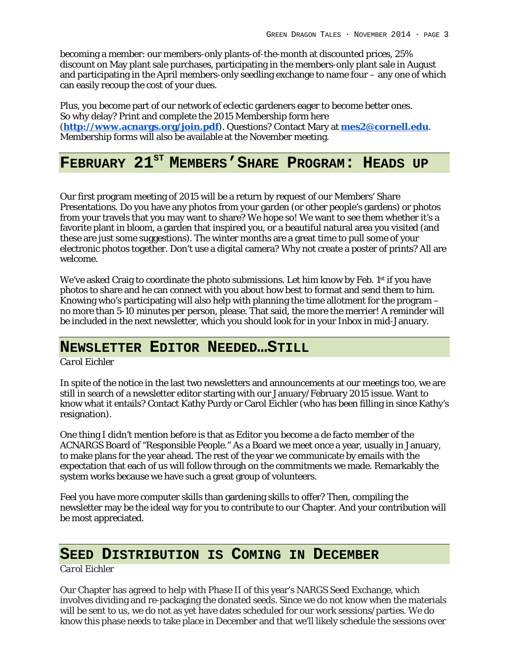becoming a member: our members-only plants-of-the-month at discounted prices, 25% discount on May plant sale purchases, participating in the members-only plant sale in August and participating in the April members-only seedling exchange to name four – any one of which can easily recoup the cost of your dues.

Plus, you become part of our network of eclectic gardeners eager to become better ones. So why delay? Print and complete the 2015 Membership form here (**<http://www.acnargs.org/join.pdf>**). Questions? Contact Mary at **[mes2@cornell.edu](mailto:mes2@cornell.edu)**. Membership forms will also be available at the November meeting.

# **FEBRUARY 21ST MEMBERS'SHARE PROGRAM: HEADS UP**

Our first program meeting of 2015 will be a return by request of our Members' Share Presentations. Do you have any photos from your garden (or other people's gardens) or photos from your travels that you may want to share? We hope so! We want to see them whether it's a favorite plant in bloom, a garden that inspired you, or a beautiful natural area you visited (and these are just some suggestions). The winter months are a great time to pull some of your electronic photos together. Don't use a digital camera? Why not create a poster of prints? All are welcome.

We've asked Craig to coordinate the photo submissions. Let him know by Feb. 1st if you have photos to share and he can connect with you about how best to format and send them to him. Knowing who's participating will also help with planning the time allotment for the program – no more than 5-10 minutes per person, please. That said, the more the merrier! A reminder will be included in the next newsletter, which you should look for in your Inbox in mid-January.

## **NEWSLETTER EDITOR NEEDED…STILL**

*Carol Eichler*

In spite of the notice in the last two newsletters and announcements at our meetings too, we are still in search of a newsletter editor starting with our January/February 2015 issue. Want to know what it entails? Contact Kathy Purdy or Carol Eichler (who has been filling in since Kathy's resignation).

One thing I didn't mention before is that as Editor you become a de facto member of the ACNARGS Board of "Responsible People." As a Board we meet once a year, usually in January, to make plans for the year ahead. The rest of the year we communicate by emails with the expectation that each of us will follow through on the commitments we made. Remarkably the system works because we have such a great group of volunteers.

Feel you have more computer skills than gardening skills to offer? Then, compiling the newsletter may be the ideal way for you to contribute to our Chapter. And your contribution will be most appreciated.

## **SEED DISTRIBUTION IS COMING IN DECEMBER**

*Carol Eichler*

Our Chapter has agreed to help with Phase II of this year's NARGS Seed Exchange, which involves dividing and re-packaging the donated seeds. Since we do not know when the materials will be sent to us, we do not as yet have dates scheduled for our work sessions/parties. We do know this phase needs to take place in December and that we'll likely schedule the sessions over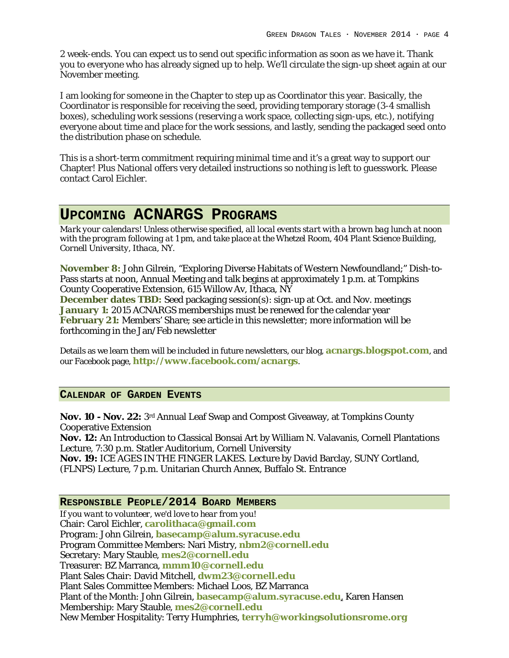2 week-ends. You can expect us to send out specific information as soon as we have it. Thank you to everyone who has already signed up to help. We'll circulate the sign-up sheet again at our November meeting.

I am looking for someone in the Chapter to step up as Coordinator this year. Basically, the Coordinator is responsible for receiving the seed, providing temporary storage (3-4 smallish boxes), scheduling work sessions (reserving a work space, collecting sign-ups, etc.), notifying everyone about time and place for the work sessions, and lastly, sending the packaged seed onto the distribution phase on schedule.

This is a short-term commitment requiring minimal time and it's a great way to support our Chapter! Plus National offers very detailed instructions so nothing is left to guesswork. Please contact Carol Eichler.

## **UPCOMING ACNARGS PROGRAMS**

*Mark your calendars! Unless otherwise specified, all local events start with a brown bag lunch at noon with the program following at 1 pm, and take place at the Whetzel Room, 404 Plant Science Building, Cornell University, Ithaca, NY.*

**November 8:** John Gilrein, "Exploring Diverse Habitats of Western Newfoundland;" Dish-to-Pass starts at noon, Annual Meeting and talk begins at approximately 1 p.m. at Tompkins County Cooperative Extension, 615 Willow Av, Ithaca, NY

**December dates TBD:** Seed packaging session(s): sign-up at Oct. and Nov. meetings **January 1:** 2015 ACNARGS memberships must be renewed for the calendar year **February 21:** Members' Share; see article in this newsletter; more information will be forthcoming in the Jan/Feb newsletter

Details as we learn them will be included in future newsletters, our blog, **[acnargs.blogspot.com](http://acnargs.blogspot.com/)**, and our Facebook page, **[http://www.facebook.com/acnargs](http://acnargs.blogspot.com/)**.

#### **CALENDAR OF GARDEN EVENTS**

**Nov. 10 - Nov. 22:** 3rd Annual Leaf Swap and Compost Giveaway, at Tompkins County Cooperative Extension

**Nov. 12:** An Introduction to Classical Bonsai Art by William N. Valavanis, Cornell Plantations Lecture, 7:30 p.m. Statler Auditorium, Cornell University

**Nov. 19:** ICE AGES IN THE FINGER LAKES. Lecture by David Barclay, SUNY Cortland, (FLNPS) Lecture, 7 p.m. Unitarian Church Annex, Buffalo St. Entrance

### **RESPONSIBLE PEOPLE/2014 BOARD MEMBERS**

*If you want to volunteer, we'd love to hear from you!* Chair: Carol Eichler, **[carolithaca@gmail.com](mailto:carolithaca@gmail.com)** Program: John Gilrein, **[basecamp@alum.syracuse.edu](mailto:basecamp@alum.syracuse.edu)** Program Committee Members: Nari Mistry, **[nbm2@cornell.edu](mailto:nbm2@cornell.edu)** Secretary: Mary Stauble, **[mes2@cornell.edu](mailto:mes2@cornell.edu)** Treasurer: BZ Marranca, **[mmm10@cornell.edu](mailto:mmm10@cornell.edu)** Plant Sales Chair: David Mitchell, **[dwm23@cornell.edu](mailto:dwm23@cornell.edu)** Plant Sales Committee Members: Michael Loos, BZ Marranca Plant of the Month: John Gilrein, **[basecamp@alum.syracuse.edu](mailto:basecamp@alum.syracuse.edu)**, Karen Hansen Membership: Mary Stauble, **[mes2@cornell.edu](mailto:mes2@cornell.edu)** New Member Hospitality: Terry Humphries, **terryh@workingsolutionsrome.org**